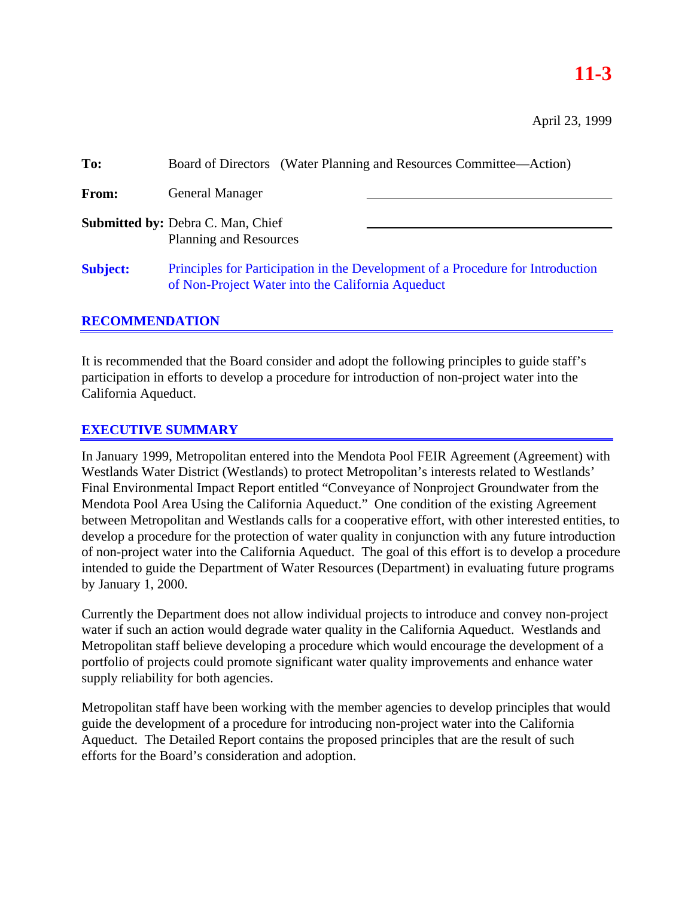# **11-3**

April 23, 1999

| To:             | Board of Directors (Water Planning and Resources Committee—Action)                                                                   |
|-----------------|--------------------------------------------------------------------------------------------------------------------------------------|
| From:           | <b>General Manager</b>                                                                                                               |
|                 | <b>Submitted by: Debra C. Man, Chief</b><br><b>Planning and Resources</b>                                                            |
| <b>Subject:</b> | Principles for Participation in the Development of a Procedure for Introduction<br>of Non-Project Water into the California Aqueduct |

# **RECOMMENDATION**

It is recommended that the Board consider and adopt the following principles to guide staff's participation in efforts to develop a procedure for introduction of non-project water into the California Aqueduct.

# **EXECUTIVE SUMMARY**

In January 1999, Metropolitan entered into the Mendota Pool FEIR Agreement (Agreement) with Westlands Water District (Westlands) to protect Metropolitan's interests related to Westlands' Final Environmental Impact Report entitled "Conveyance of Nonproject Groundwater from the Mendota Pool Area Using the California Aqueduct." One condition of the existing Agreement between Metropolitan and Westlands calls for a cooperative effort, with other interested entities, to develop a procedure for the protection of water quality in conjunction with any future introduction of non-project water into the California Aqueduct. The goal of this effort is to develop a procedure intended to guide the Department of Water Resources (Department) in evaluating future programs by January 1, 2000.

Currently the Department does not allow individual projects to introduce and convey non-project water if such an action would degrade water quality in the California Aqueduct. Westlands and Metropolitan staff believe developing a procedure which would encourage the development of a portfolio of projects could promote significant water quality improvements and enhance water supply reliability for both agencies.

Metropolitan staff have been working with the member agencies to develop principles that would guide the development of a procedure for introducing non-project water into the California Aqueduct. The Detailed Report contains the proposed principles that are the result of such efforts for the Board's consideration and adoption.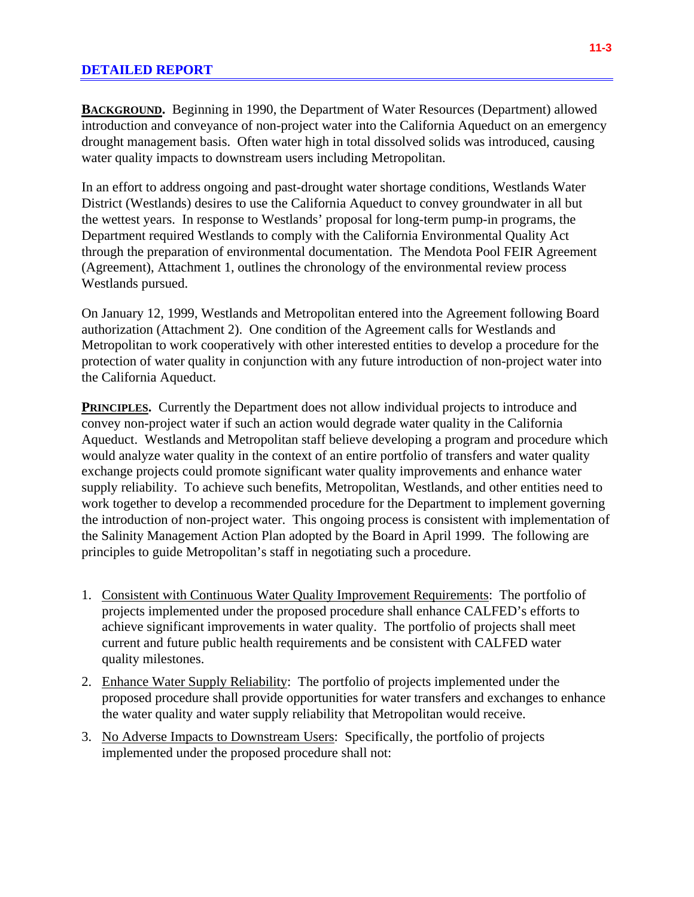# **DETAILED REPORT**

**BACKGROUND.** Beginning in 1990, the Department of Water Resources (Department) allowed introduction and conveyance of non-project water into the California Aqueduct on an emergency drought management basis. Often water high in total dissolved solids was introduced, causing water quality impacts to downstream users including Metropolitan.

In an effort to address ongoing and past-drought water shortage conditions, Westlands Water District (Westlands) desires to use the California Aqueduct to convey groundwater in all but the wettest years. In response to Westlands' proposal for long-term pump-in programs, the Department required Westlands to comply with the California Environmental Quality Act through the preparation of environmental documentation. The Mendota Pool FEIR Agreement (Agreement), Attachment 1, outlines the chronology of the environmental review process Westlands pursued.

On January 12, 1999, Westlands and Metropolitan entered into the Agreement following Board authorization (Attachment 2). One condition of the Agreement calls for Westlands and Metropolitan to work cooperatively with other interested entities to develop a procedure for the protection of water quality in conjunction with any future introduction of non-project water into the California Aqueduct.

**PRINCIPLES.** Currently the Department does not allow individual projects to introduce and convey non-project water if such an action would degrade water quality in the California Aqueduct. Westlands and Metropolitan staff believe developing a program and procedure which would analyze water quality in the context of an entire portfolio of transfers and water quality exchange projects could promote significant water quality improvements and enhance water supply reliability. To achieve such benefits, Metropolitan, Westlands, and other entities need to work together to develop a recommended procedure for the Department to implement governing the introduction of non-project water. This ongoing process is consistent with implementation of the Salinity Management Action Plan adopted by the Board in April 1999. The following are principles to guide Metropolitan's staff in negotiating such a procedure.

- 1. Consistent with Continuous Water Quality Improvement Requirements: The portfolio of projects implemented under the proposed procedure shall enhance CALFED's efforts to achieve significant improvements in water quality. The portfolio of projects shall meet current and future public health requirements and be consistent with CALFED water quality milestones.
- 2. Enhance Water Supply Reliability: The portfolio of projects implemented under the proposed procedure shall provide opportunities for water transfers and exchanges to enhance the water quality and water supply reliability that Metropolitan would receive.
- 3. No Adverse Impacts to Downstream Users: Specifically, the portfolio of projects implemented under the proposed procedure shall not: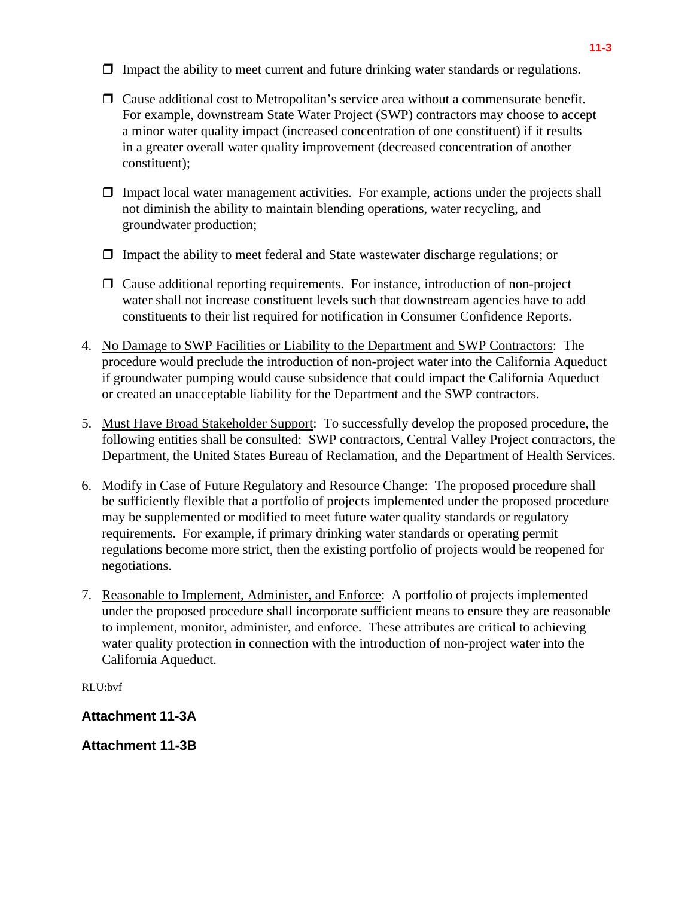- $\Box$  Impact the ability to meet current and future drinking water standards or regulations.
- $\Box$  Cause additional cost to Metropolitan's service area without a commensurate benefit. For example, downstream State Water Project (SWP) contractors may choose to accept a minor water quality impact (increased concentration of one constituent) if it results in a greater overall water quality improvement (decreased concentration of another constituent);
- $\Box$  Impact local water management activities. For example, actions under the projects shall not diminish the ability to maintain blending operations, water recycling, and groundwater production;
- $\Box$  Impact the ability to meet federal and State wastewater discharge regulations; or
- $\Box$  Cause additional reporting requirements. For instance, introduction of non-project water shall not increase constituent levels such that downstream agencies have to add constituents to their list required for notification in Consumer Confidence Reports.
- 4. No Damage to SWP Facilities or Liability to the Department and SWP Contractors: The procedure would preclude the introduction of non-project water into the California Aqueduct if groundwater pumping would cause subsidence that could impact the California Aqueduct or created an unacceptable liability for the Department and the SWP contractors.
- 5. Must Have Broad Stakeholder Support: To successfully develop the proposed procedure, the following entities shall be consulted: SWP contractors, Central Valley Project contractors, the Department, the United States Bureau of Reclamation, and the Department of Health Services.
- 6. Modify in Case of Future Regulatory and Resource Change: The proposed procedure shall be sufficiently flexible that a portfolio of projects implemented under the proposed procedure may be supplemented or modified to meet future water quality standards or regulatory requirements. For example, if primary drinking water standards or operating permit regulations become more strict, then the existing portfolio of projects would be reopened for negotiations.
- 7. Reasonable to Implement, Administer, and Enforce: A portfolio of projects implemented under the proposed procedure shall incorporate sufficient means to ensure they are reasonable to implement, monitor, administer, and enforce. These attributes are critical to achieving water quality protection in connection with the introduction of non-project water into the California Aqueduct.

RLU:bvf

**Attachment 11-3A**

**Attachment 11-3B**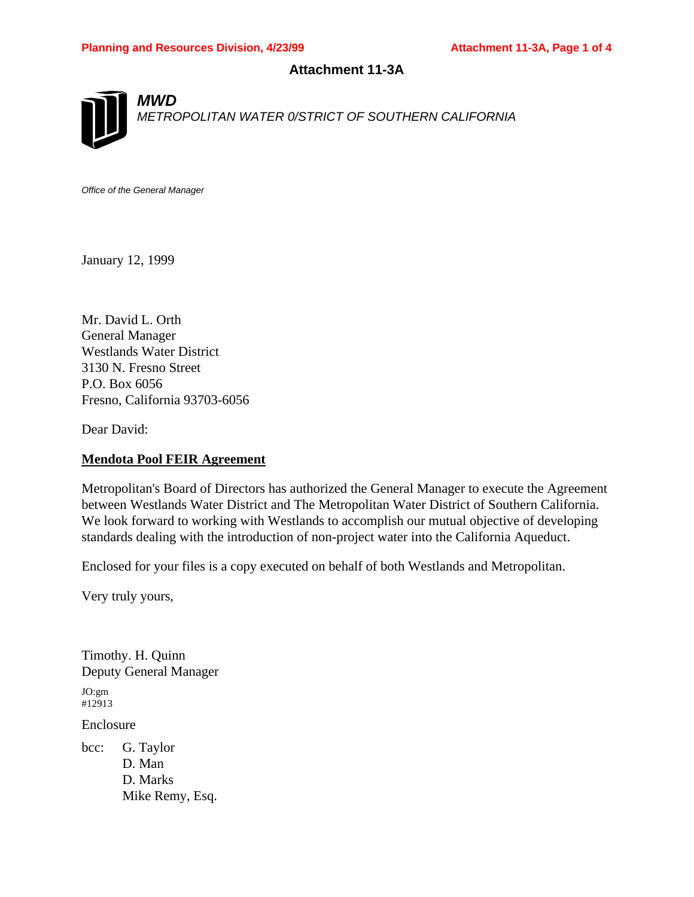# **Attachment 11-3A**



*METROPOLITAN WATER 0/STRICT OF SOUTHERN CALIFORNIA*

*Office of the General Manager*

*MWD*

January 12, 1999

Mr. David L. Orth General Manager Westlands Water District 3130 N. Fresno Street P.O. Box 6056 Fresno, California 93703-6056

Dear David:

# **Mendota Pool FEIR Agreement**

Metropolitan's Board of Directors has authorized the General Manager to execute the Agreement between Westlands Water District and The Metropolitan Water District of Southern California. We look forward to working with Westlands to accomplish our mutual objective of developing standards dealing with the introduction of non-project water into the California Aqueduct.

Enclosed for your files is a copy executed on behalf of both Westlands and Metropolitan.

Very truly yours,

Timothy. H. Quinn Deputy General Manager JO:gm #12913 Enclosure bcc: G. Taylor

D. Man D. Marks Mike Remy, Esq.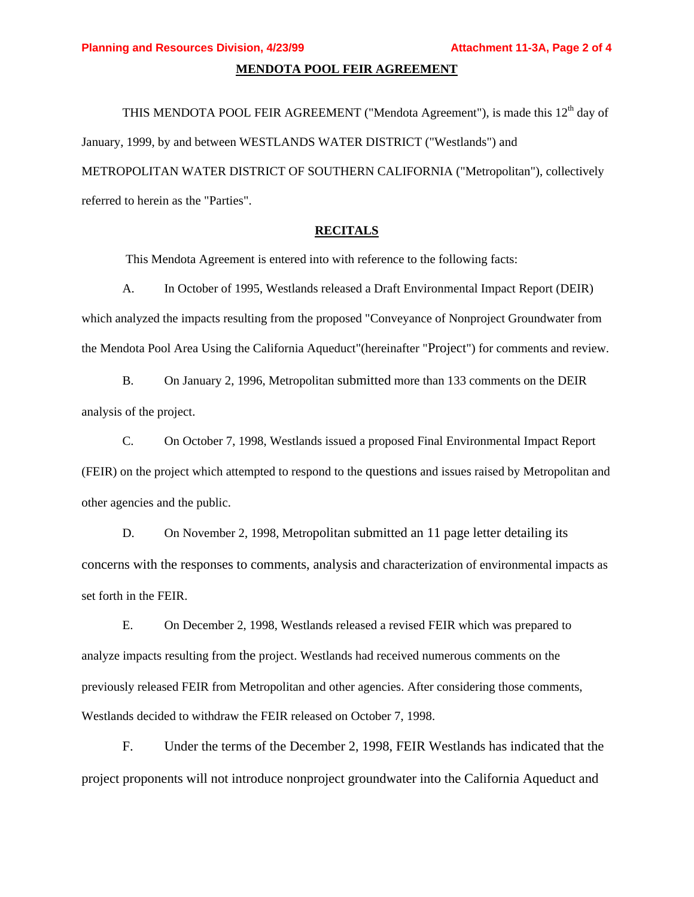#### **MENDOTA POOL FEIR AGREEMENT**

THIS MENDOTA POOL FEIR AGREEMENT ("Mendota Agreement"), is made this  $12<sup>th</sup>$  day of January, 1999, by and between WESTLANDS WATER DISTRICT ("Westlands") and METROPOLITAN WATER DISTRICT OF SOUTHERN CALIFORNIA ("Metropolitan"), collectively referred to herein as the "Parties".

#### **RECITALS**

This Mendota Agreement is entered into with reference to the following facts:

A. In October of 1995, Westlands released a Draft Environmental Impact Report (DEIR) which analyzed the impacts resulting from the proposed "Conveyance of Nonproject Groundwater from the Mendota Pool Area Using the California Aqueduct"(hereinafter "Project") for comments and review.

B. On January 2, 1996, Metropolitan submitted more than 133 comments on the DEIR analysis of the project.

C. On October 7, 1998, Westlands issued a proposed Final Environmental Impact Report (FEIR) on the project which attempted to respond to the questions and issues raised by Metropolitan and other agencies and the public.

D. On November 2, 1998, Metropolitan submitted an 11 page letter detailing its concerns with the responses to comments, analysis and characterization of environmental impacts as set forth in the FEIR.

E. On December 2, 1998, Westlands released a revised FEIR which was prepared to analyze impacts resulting from the project. Westlands had received numerous comments on the previously released FEIR from Metropolitan and other agencies. After considering those comments, Westlands decided to withdraw the FEIR released on October 7, 1998.

F. Under the terms of the December 2, 1998, FEIR Westlands has indicated that the project proponents will not introduce nonproject groundwater into the California Aqueduct and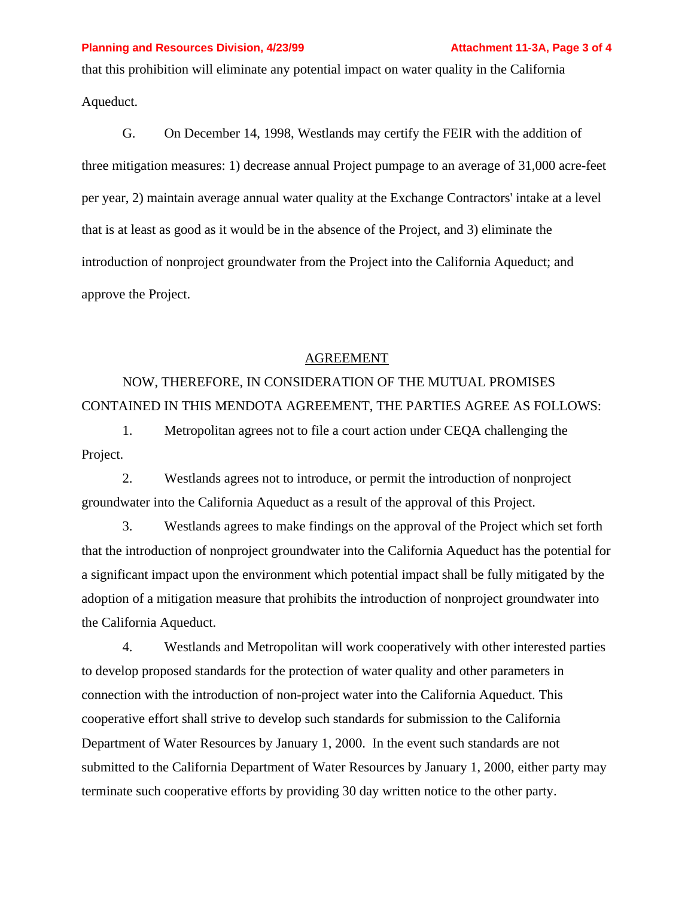#### **Planning and Resources Division, 4/23/99 <b>Attachment 11-3A, Page 3 of 4**

that this prohibition will eliminate any potential impact on water quality in the California Aqueduct.

G. On December 14, 1998, Westlands may certify the FEIR with the addition of three mitigation measures: 1) decrease annual Project pumpage to an average of 31,000 acre-feet per year, 2) maintain average annual water quality at the Exchange Contractors' intake at a level that is at least as good as it would be in the absence of the Project, and 3) eliminate the introduction of nonproject groundwater from the Project into the California Aqueduct; and approve the Project.

### AGREEMENT

NOW, THEREFORE, IN CONSIDERATION OF THE MUTUAL PROMISES CONTAINED IN THIS MENDOTA AGREEMENT, THE PARTIES AGREE AS FOLLOWS:

1. Metropolitan agrees not to file a court action under CEQA challenging the Project.

2. Westlands agrees not to introduce, or permit the introduction of nonproject groundwater into the California Aqueduct as a result of the approval of this Project.

3. Westlands agrees to make findings on the approval of the Project which set forth that the introduction of nonproject groundwater into the California Aqueduct has the potential for a significant impact upon the environment which potential impact shall be fully mitigated by the adoption of a mitigation measure that prohibits the introduction of nonproject groundwater into the California Aqueduct.

4. Westlands and Metropolitan will work cooperatively with other interested parties to develop proposed standards for the protection of water quality and other parameters in connection with the introduction of non-project water into the California Aqueduct. This cooperative effort shall strive to develop such standards for submission to the California Department of Water Resources by January 1, 2000. In the event such standards are not submitted to the California Department of Water Resources by January 1, 2000, either party may terminate such cooperative efforts by providing 30 day written notice to the other party.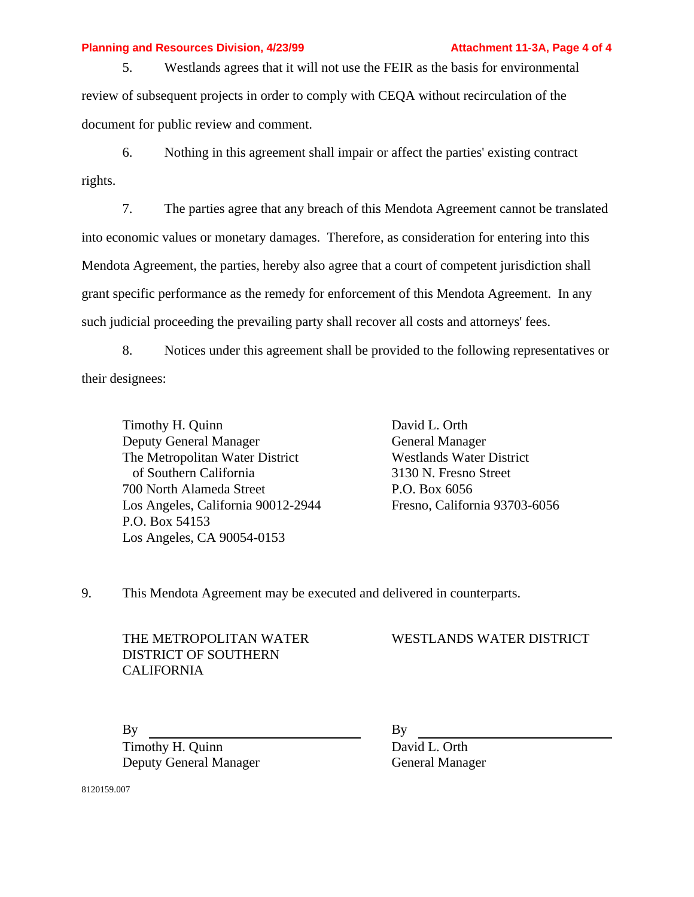#### **Planning and Resources Division, 4/23/99 <b>Attachment 11-3A, Page 4 of 4**

5. Westlands agrees that it will not use the FEIR as the basis for environmental review of subsequent projects in order to comply with CEQA without recirculation of the document for public review and comment.

6. Nothing in this agreement shall impair or affect the parties' existing contract rights.

7. The parties agree that any breach of this Mendota Agreement cannot be translated into economic values or monetary damages. Therefore, as consideration for entering into this Mendota Agreement, the parties, hereby also agree that a court of competent jurisdiction shall grant specific performance as the remedy for enforcement of this Mendota Agreement. In any such judicial proceeding the prevailing party shall recover all costs and attorneys' fees.

8. Notices under this agreement shall be provided to the following representatives or their designees:

Timothy H. Quinn Deputy General Manager The Metropolitan Water District of Southern California 700 North Alameda Street Los Angeles, California 90012-2944 P.O. Box 54153 Los Angeles, CA 90054-0153

David L. Orth General Manager Westlands Water District 3130 N. Fresno Street P.O. Box 6056 Fresno, California 93703-6056

9. This Mendota Agreement may be executed and delivered in counterparts.

THE METROPOLITAN WATER DISTRICT OF SOUTHERN CALIFORNIA

# WESTLANDS WATER DISTRICT

By By Timothy H. Quinn Deputy General Manager

David L. Orth General Manager

8120159.007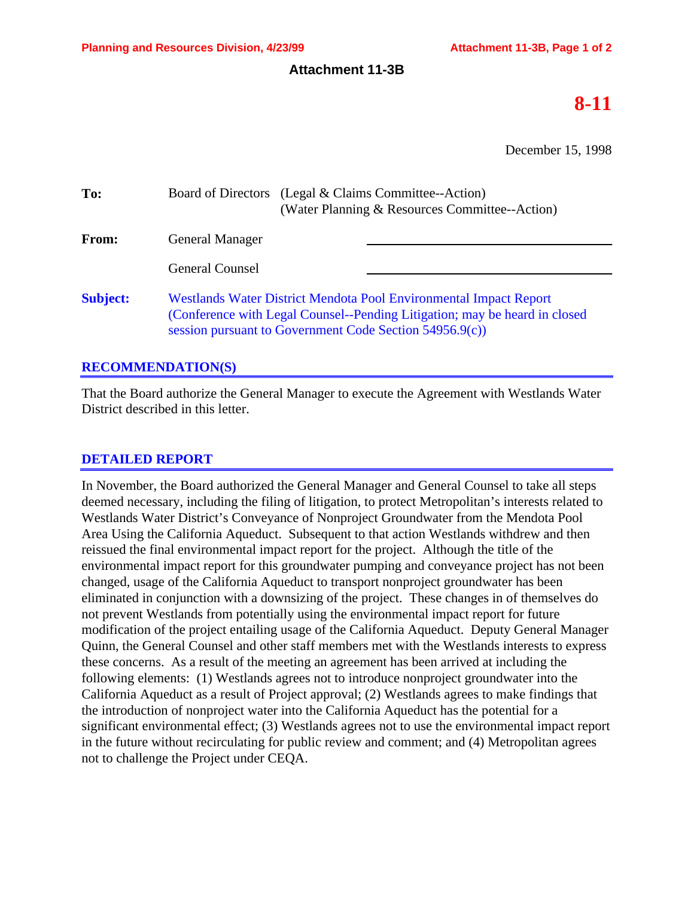## **Attachment 11-3B**

# **8-11**

December 15, 1998

| To:             | Board of Directors (Legal & Claims Committee--Action)<br>(Water Planning & Resources Committee--Action)                                                                                                    |
|-----------------|------------------------------------------------------------------------------------------------------------------------------------------------------------------------------------------------------------|
| <b>From:</b>    | <b>General Manager</b>                                                                                                                                                                                     |
|                 | <b>General Counsel</b>                                                                                                                                                                                     |
| <b>Subject:</b> | Westlands Water District Mendota Pool Environmental Impact Report<br>(Conference with Legal Counsel--Pending Litigation; may be heard in closed<br>session pursuant to Government Code Section 54956.9(c)) |

# **RECOMMENDATION(S)**

That the Board authorize the General Manager to execute the Agreement with Westlands Water District described in this letter.

# **DETAILED REPORT**

In November, the Board authorized the General Manager and General Counsel to take all steps deemed necessary, including the filing of litigation, to protect Metropolitan's interests related to Westlands Water District's Conveyance of Nonproject Groundwater from the Mendota Pool Area Using the California Aqueduct. Subsequent to that action Westlands withdrew and then reissued the final environmental impact report for the project. Although the title of the environmental impact report for this groundwater pumping and conveyance project has not been changed, usage of the California Aqueduct to transport nonproject groundwater has been eliminated in conjunction with a downsizing of the project. These changes in of themselves do not prevent Westlands from potentially using the environmental impact report for future modification of the project entailing usage of the California Aqueduct. Deputy General Manager Quinn, the General Counsel and other staff members met with the Westlands interests to express these concerns. As a result of the meeting an agreement has been arrived at including the following elements: (1) Westlands agrees not to introduce nonproject groundwater into the California Aqueduct as a result of Project approval; (2) Westlands agrees to make findings that the introduction of nonproject water into the California Aqueduct has the potential for a significant environmental effect; (3) Westlands agrees not to use the environmental impact report in the future without recirculating for public review and comment; and (4) Metropolitan agrees not to challenge the Project under CEQA.